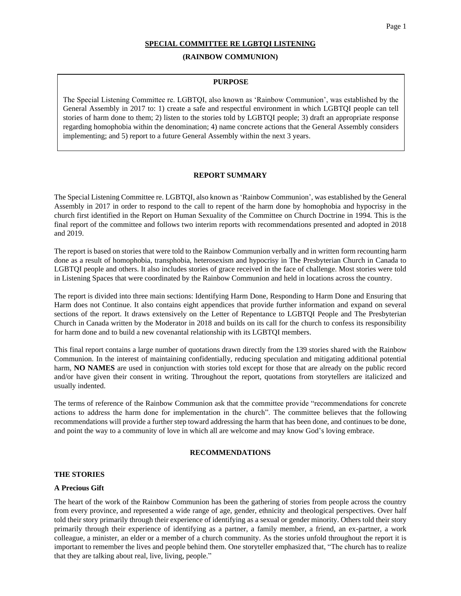#### Page 1

### **SPECIAL COMMITTEE RE LGBTQI LISTENING**

### **(RAINBOW COMMUNION)**

#### **PURPOSE**

The Special Listening Committee re. LGBTQI, also known as 'Rainbow Communion', was established by the General Assembly in 2017 to: 1) create a safe and respectful environment in which LGBTQI people can tell stories of harm done to them; 2) listen to the stories told by LGBTQI people; 3) draft an appropriate response regarding homophobia within the denomination; 4) name concrete actions that the General Assembly considers implementing; and 5) report to a future General Assembly within the next 3 years.

### **REPORT SUMMARY**

The Special Listening Committee re. LGBTQI, also known as 'Rainbow Communion', was established by the General Assembly in 2017 in order to respond to the call to repent of the harm done by homophobia and hypocrisy in the church first identified in the Report on Human Sexuality of the Committee on Church Doctrine in 1994. This is the final report of the committee and follows two interim reports with recommendations presented and adopted in 2018 and 2019.

The report is based on stories that were told to the Rainbow Communion verbally and in written form recounting harm done as a result of homophobia, transphobia, heterosexism and hypocrisy in The Presbyterian Church in Canada to LGBTQI people and others. It also includes stories of grace received in the face of challenge. Most stories were told in Listening Spaces that were coordinated by the Rainbow Communion and held in locations across the country.

The report is divided into three main sections: Identifying Harm Done, Responding to Harm Done and Ensuring that Harm does not Continue. It also contains eight appendices that provide further information and expand on several sections of the report. It draws extensively on the Letter of Repentance to LGBTQI People and The Presbyterian Church in Canada written by the Moderator in 2018 and builds on its call for the church to confess its responsibility for harm done and to build a new covenantal relationship with its LGBTQI members.

This final report contains a large number of quotations drawn directly from the 139 stories shared with the Rainbow Communion. In the interest of maintaining confidentially, reducing speculation and mitigating additional potential harm, **NO NAMES** are used in conjunction with stories told except for those that are already on the public record and/or have given their consent in writing. Throughout the report, quotations from storytellers are italicized and usually indented.

The terms of reference of the Rainbow Communion ask that the committee provide "recommendations for concrete actions to address the harm done for implementation in the church". The committee believes that the following recommendations will provide a further step toward addressing the harm that has been done, and continues to be done, and point the way to a community of love in which all are welcome and may know God's loving embrace.

### **RECOMMENDATIONS**

### **THE STORIES**

### **A Precious Gift**

The heart of the work of the Rainbow Communion has been the gathering of stories from people across the country from every province, and represented a wide range of age, gender, ethnicity and theological perspectives. Over half told their story primarily through their experience of identifying as a sexual or gender minority. Others told their story primarily through their experience of identifying as a partner, a family member, a friend, an ex-partner, a work colleague, a minister, an elder or a member of a church community. As the stories unfold throughout the report it is important to remember the lives and people behind them. One storyteller emphasized that, "The church has to realize that they are talking about real, live, living, people."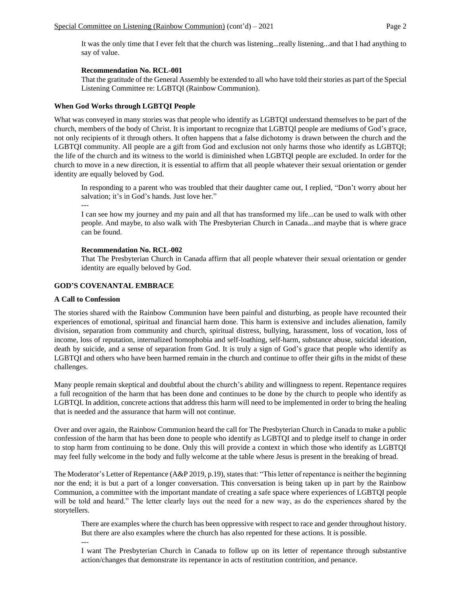It was the only time that I ever felt that the church was listening...really listening...and that I had anything to say of value.

## **Recommendation No. RCL-001**

That the gratitude of the General Assembly be extended to all who have told their stories as part of the Special Listening Committee re: LGBTQI (Rainbow Communion).

## **When God Works through LGBTQI People**

What was conveyed in many stories was that people who identify as LGBTQI understand themselves to be part of the church, members of the body of Christ. It is important to recognize that LGBTQI people are mediums of God's grace, not only recipients of it through others. It often happens that a false dichotomy is drawn between the church and the LGBTQI community. All people are a gift from God and exclusion not only harms those who identify as LGBTQI; the life of the church and its witness to the world is diminished when LGBTQI people are excluded. In order for the church to move in a new direction, it is essential to affirm that all people whatever their sexual orientation or gender identity are equally beloved by God.

In responding to a parent who was troubled that their daughter came out, I replied, "Don't worry about her salvation; it's in God's hands. Just love her."

---

I can see how my journey and my pain and all that has transformed my life...can be used to walk with other people. And maybe, to also walk with The Presbyterian Church in Canada...and maybe that is where grace can be found.

## **Recommendation No. RCL-002**

That The Presbyterian Church in Canada affirm that all people whatever their sexual orientation or gender identity are equally beloved by God.

## **GOD'S COVENANTAL EMBRACE**

### **A Call to Confession**

The stories shared with the Rainbow Communion have been painful and disturbing, as people have recounted their experiences of emotional, spiritual and financial harm done. This harm is extensive and includes alienation, family division, separation from community and church, spiritual distress, bullying, harassment, loss of vocation, loss of income, loss of reputation, internalized homophobia and self-loathing, self-harm, substance abuse, suicidal ideation, death by suicide, and a sense of separation from God. It is truly a sign of God's grace that people who identify as LGBTQI and others who have been harmed remain in the church and continue to offer their gifts in the midst of these challenges.

Many people remain skeptical and doubtful about the church's ability and willingness to repent. Repentance requires a full recognition of the harm that has been done and continues to be done by the church to people who identify as LGBTQI. In addition, concrete actions that address this harm will need to be implemented in order to bring the healing that is needed and the assurance that harm will not continue.

Over and over again, the Rainbow Communion heard the call for The Presbyterian Church in Canada to make a public confession of the harm that has been done to people who identify as LGBTQI and to pledge itself to change in order to stop harm from continuing to be done. Only this will provide a context in which those who identify as LGBTQI may feel fully welcome in the body and fully welcome at the table where Jesus is present in the breaking of bread.

The Moderator's Letter of Repentance (A&P 2019, p.19), states that: "This letter of repentance is neither the beginning nor the end; it is but a part of a longer conversation. This conversation is being taken up in part by the Rainbow Communion, a committee with the important mandate of creating a safe space where experiences of LGBTQI people will be told and heard." The letter clearly lays out the need for a new way, as do the experiences shared by the storytellers.

There are examples where the church has been oppressive with respect to race and gender throughout history. But there are also examples where the church has also repented for these actions. It is possible.

---

I want The Presbyterian Church in Canada to follow up on its letter of repentance through substantive action/changes that demonstrate its repentance in acts of restitution contrition, and penance.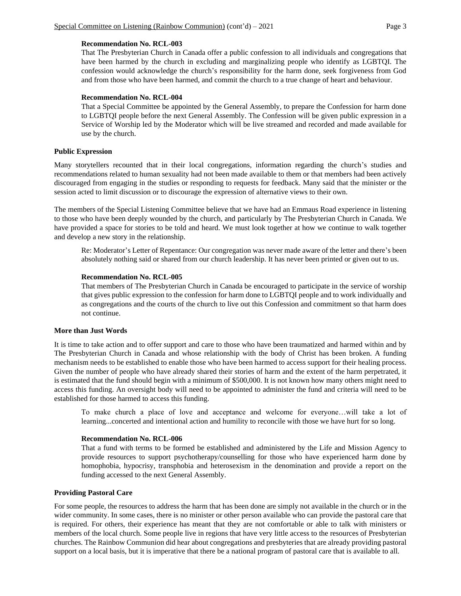### **Recommendation No. RCL-003**

That The Presbyterian Church in Canada offer a public confession to all individuals and congregations that have been harmed by the church in excluding and marginalizing people who identify as LGBTQI. The confession would acknowledge the church's responsibility for the harm done, seek forgiveness from God and from those who have been harmed, and commit the church to a true change of heart and behaviour.

### **Recommendation No. RCL-004**

That a Special Committee be appointed by the General Assembly, to prepare the Confession for harm done to LGBTQI people before the next General Assembly. The Confession will be given public expression in a Service of Worship led by the Moderator which will be live streamed and recorded and made available for use by the church.

## **Public Expression**

Many storytellers recounted that in their local congregations, information regarding the church's studies and recommendations related to human sexuality had not been made available to them or that members had been actively discouraged from engaging in the studies or responding to requests for feedback. Many said that the minister or the session acted to limit discussion or to discourage the expression of alternative views to their own.

The members of the Special Listening Committee believe that we have had an Emmaus Road experience in listening to those who have been deeply wounded by the church, and particularly by The Presbyterian Church in Canada. We have provided a space for stories to be told and heard. We must look together at how we continue to walk together and develop a new story in the relationship.

Re: Moderator's Letter of Repentance: Our congregation was never made aware of the letter and there's been absolutely nothing said or shared from our church leadership. It has never been printed or given out to us.

## **Recommendation No. RCL-005**

That members of The Presbyterian Church in Canada be encouraged to participate in the service of worship that gives public expression to the confession for harm done to LGBTQI people and to work individually and as congregations and the courts of the church to live out this Confession and commitment so that harm does not continue.

## **More than Just Words**

It is time to take action and to offer support and care to those who have been traumatized and harmed within and by The Presbyterian Church in Canada and whose relationship with the body of Christ has been broken. A funding mechanism needs to be established to enable those who have been harmed to access support for their healing process. Given the number of people who have already shared their stories of harm and the extent of the harm perpetrated, it is estimated that the fund should begin with a minimum of \$500,000. It is not known how many others might need to access this funding. An oversight body will need to be appointed to administer the fund and criteria will need to be established for those harmed to access this funding.

To make church a place of love and acceptance and welcome for everyone…will take a lot of learning...concerted and intentional action and humility to reconcile with those we have hurt for so long.

## **Recommendation No. RCL-006**

That a fund with terms to be formed be established and administered by the Life and Mission Agency to provide resources to support psychotherapy/counselling for those who have experienced harm done by homophobia, hypocrisy, transphobia and heterosexism in the denomination and provide a report on the funding accessed to the next General Assembly.

## **Providing Pastoral Care**

For some people, the resources to address the harm that has been done are simply not available in the church or in the wider community. In some cases, there is no minister or other person available who can provide the pastoral care that is required. For others, their experience has meant that they are not comfortable or able to talk with ministers or members of the local church. Some people live in regions that have very little access to the resources of Presbyterian churches. The Rainbow Communion did hear about congregations and presbyteries that are already providing pastoral support on a local basis, but it is imperative that there be a national program of pastoral care that is available to all.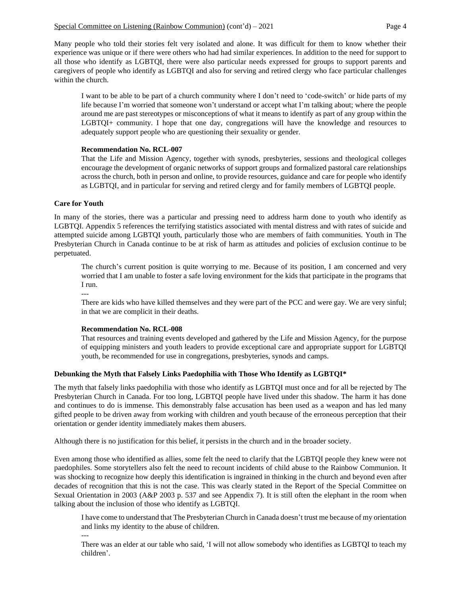Many people who told their stories felt very isolated and alone. It was difficult for them to know whether their experience was unique or if there were others who had had similar experiences. In addition to the need for support to all those who identify as LGBTQI, there were also particular needs expressed for groups to support parents and caregivers of people who identify as LGBTQI and also for serving and retired clergy who face particular challenges within the church.

I want to be able to be part of a church community where I don't need to 'code-switch' or hide parts of my life because I'm worried that someone won't understand or accept what I'm talking about; where the people around me are past stereotypes or misconceptions of what it means to identify as part of any group within the LGBTQI+ community. I hope that one day, congregations will have the knowledge and resources to adequately support people who are questioning their sexuality or gender.

# **Recommendation No. RCL-007**

That the Life and Mission Agency, together with synods, presbyteries, sessions and theological colleges encourage the development of organic networks of support groups and formalized pastoral care relationships across the church, both in person and online, to provide resources, guidance and care for people who identify as LGBTQI, and in particular for serving and retired clergy and for family members of LGBTQI people.

# **Care for Youth**

In many of the stories, there was a particular and pressing need to address harm done to youth who identify as LGBTQI. Appendix 5 references the terrifying statistics associated with mental distress and with rates of suicide and attempted suicide among LGBTQI youth, particularly those who are members of faith communities. Youth in The Presbyterian Church in Canada continue to be at risk of harm as attitudes and policies of exclusion continue to be perpetuated.

The church's current position is quite worrying to me. Because of its position, I am concerned and very worried that I am unable to foster a safe loving environment for the kids that participate in the programs that I run.

--- There are kids who have killed themselves and they were part of the PCC and were gay. We are very sinful; in that we are complicit in their deaths.

## **Recommendation No. RCL-008**

That resources and training events developed and gathered by the Life and Mission Agency, for the purpose of equipping ministers and youth leaders to provide exceptional care and appropriate support for LGBTQI youth, be recommended for use in congregations, presbyteries, synods and camps.

# **Debunking the Myth that Falsely Links Paedophilia with Those Who Identify as LGBTQI\***

The myth that falsely links paedophilia with those who identify as LGBTQI must once and for all be rejected by The Presbyterian Church in Canada. For too long, LGBTQI people have lived under this shadow. The harm it has done and continues to do is immense. This demonstrably false accusation has been used as a weapon and has led many gifted people to be driven away from working with children and youth because of the erroneous perception that their orientation or gender identity immediately makes them abusers.

Although there is no justification for this belief, it persists in the church and in the broader society.

Even among those who identified as allies, some felt the need to clarify that the LGBTQI people they knew were not paedophiles. Some storytellers also felt the need to recount incidents of child abuse to the Rainbow Communion. It was shocking to recognize how deeply this identification is ingrained in thinking in the church and beyond even after decades of recognition that this is not the case. This was clearly stated in the Report of the Special Committee on Sexual Orientation in 2003 (A&P 2003 p. 537 and see Appendix 7). It is still often the elephant in the room when talking about the inclusion of those who identify as LGBTQI.

I have come to understand that The Presbyterian Church in Canada doesn't trust me because of my orientation and links my identity to the abuse of children. ---

There was an elder at our table who said, 'I will not allow somebody who identifies as LGBTQI to teach my children'.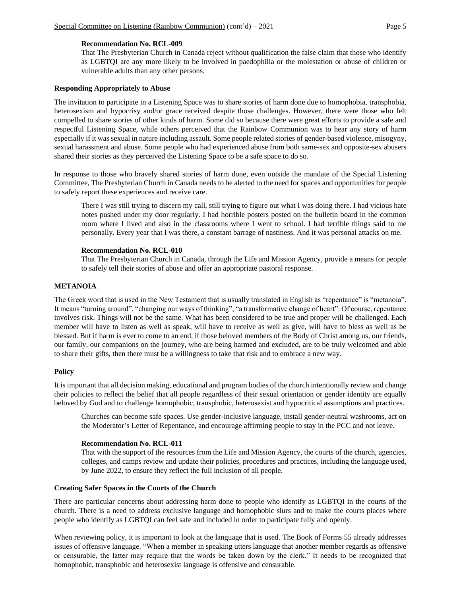### **Recommendation No. RCL-009**

That The Presbyterian Church in Canada reject without qualification the false claim that those who identify as LGBTQI are any more likely to be involved in paedophilia or the molestation or abuse of children or vulnerable adults than any other persons.

### **Responding Appropriately to Abuse**

The invitation to participate in a Listening Space was to share stories of harm done due to homophobia, transphobia, heterosexism and hypocrisy and/or grace received despite those challenges. However, there were those who felt compelled to share stories of other kinds of harm. Some did so because there were great efforts to provide a safe and respectful Listening Space, while others perceived that the Rainbow Communion was to hear any story of harm especially if it was sexual in nature including assault. Some people related stories of gender-based violence, misogyny, sexual harassment and abuse. Some people who had experienced abuse from both same-sex and opposite-sex abusers shared their stories as they perceived the Listening Space to be a safe space to do so.

In response to those who bravely shared stories of harm done, even outside the mandate of the Special Listening Committee, The Presbyterian Church in Canada needs to be alerted to the need for spaces and opportunities for people to safely report these experiences and receive care.

There I was still trying to discern my call, still trying to figure out what I was doing there. I had vicious hate notes pushed under my door regularly. I had horrible posters posted on the bulletin board in the common room where I lived and also in the classrooms where I went to school. I had terrible things said to me personally. Every year that I was there, a constant barrage of nastiness. And it was personal attacks on me.

## **Recommendation No. RCL-010**

That The Presbyterian Church in Canada, through the Life and Mission Agency, provide a means for people to safely tell their stories of abuse and offer an appropriate pastoral response.

## **METANOIA**

The Greek word that is used in the New Testament that is usually translated in English as "repentance" is "metanoia". It means "turning around", "changing our ways of thinking", "a transformative change of heart". Of course, repentance involves risk. Things will not be the same. What has been considered to be true and proper will be challenged. Each member will have to listen as well as speak, will have to receive as well as give, will have to bless as well as be blessed. But if harm is ever to come to an end, if those beloved members of the Body of Christ among us, our friends, our family, our companions on the journey, who are being harmed and excluded, are to be truly welcomed and able to share their gifts, then there must be a willingness to take that risk and to embrace a new way.

### **Policy**

It is important that all decision making, educational and program bodies of the church intentionally review and change their policies to reflect the belief that all people regardless of their sexual orientation or gender identity are equally beloved by God and to challenge homophobic, transphobic, heterosexist and hypocritical assumptions and practices.

Churches can become safe spaces. Use gender-inclusive language, install gender-neutral washrooms, act on the Moderator's Letter of Repentance, and encourage affirming people to stay in the PCC and not leave.

### **Recommendation No. RCL-011**

That with the support of the resources from the Life and Mission Agency, the courts of the church, agencies, colleges, and camps review and update their policies, procedures and practices, including the language used, by June 2022, to ensure they reflect the full inclusion of all people.

### **Creating Safer Spaces in the Courts of the Church**

There are particular concerns about addressing harm done to people who identify as LGBTQI in the courts of the church. There is a need to address exclusive language and homophobic slurs and to make the courts places where people who identify as LGBTQI can feel safe and included in order to participate fully and openly.

When reviewing policy, it is important to look at the language that is used. The Book of Forms 55 already addresses issues of offensive language. "When a member in speaking utters language that another member regards as offensive or censurable, the latter may require that the words be taken down by the clerk." It needs to be recognized that homophobic, transphobic and heterosexist language is offensive and censurable.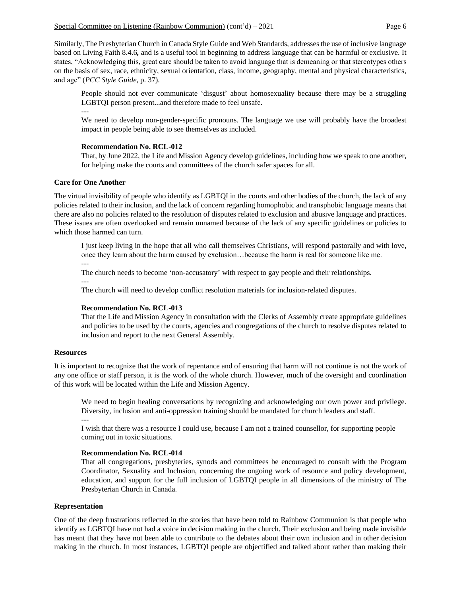Similarly, The Presbyterian Church in Canada Style Guide and Web Standards, addresses the use of inclusive language based on Living Faith 8.4.6*,* and is a useful tool in beginning to address language that can be harmful or exclusive. It states, "Acknowledging this, great care should be taken to avoid language that is demeaning or that stereotypes others on the basis of sex, race, ethnicity, sexual orientation, class, income, geography, mental and physical characteristics, and age" (*PCC Style Guide*, p. 37).

People should not ever communicate 'disgust' about homosexuality because there may be a struggling LGBTQI person present...and therefore made to feel unsafe. ---

We need to develop non-gender-specific pronouns. The language we use will probably have the broadest impact in people being able to see themselves as included.

### **Recommendation No. RCL-012**

That, by June 2022, the Life and Mission Agency develop guidelines, including how we speak to one another, for helping make the courts and committees of the church safer spaces for all.

### **Care for One Another**

The virtual invisibility of people who identify as LGBTQI in the courts and other bodies of the church, the lack of any policies related to their inclusion, and the lack of concern regarding homophobic and transphobic language means that there are also no policies related to the resolution of disputes related to exclusion and abusive language and practices. These issues are often overlooked and remain unnamed because of the lack of any specific guidelines or policies to which those harmed can turn.

I just keep living in the hope that all who call themselves Christians, will respond pastorally and with love, once they learn about the harm caused by exclusion…because the harm is real for someone like me. ---

The church needs to become 'non-accusatory' with respect to gay people and their relationships.

---

The church will need to develop conflict resolution materials for inclusion-related disputes.

### **Recommendation No. RCL-013**

That the Life and Mission Agency in consultation with the Clerks of Assembly create appropriate guidelines and policies to be used by the courts, agencies and congregations of the church to resolve disputes related to inclusion and report to the next General Assembly.

### **Resources**

It is important to recognize that the work of repentance and of ensuring that harm will not continue is not the work of any one office or staff person, it is the work of the whole church. However, much of the oversight and coordination of this work will be located within the Life and Mission Agency.

We need to begin healing conversations by recognizing and acknowledging our own power and privilege. Diversity, inclusion and anti-oppression training should be mandated for church leaders and staff. ---

I wish that there was a resource I could use, because I am not a trained counsellor, for supporting people coming out in toxic situations.

### **Recommendation No. RCL-014**

That all congregations, presbyteries, synods and committees be encouraged to consult with the Program Coordinator, Sexuality and Inclusion, concerning the ongoing work of resource and policy development, education, and support for the full inclusion of LGBTQI people in all dimensions of the ministry of The Presbyterian Church in Canada.

### **Representation**

One of the deep frustrations reflected in the stories that have been told to Rainbow Communion is that people who identify as LGBTQI have not had a voice in decision making in the church. Their exclusion and being made invisible has meant that they have not been able to contribute to the debates about their own inclusion and in other decision making in the church. In most instances, LGBTQI people are objectified and talked about rather than making their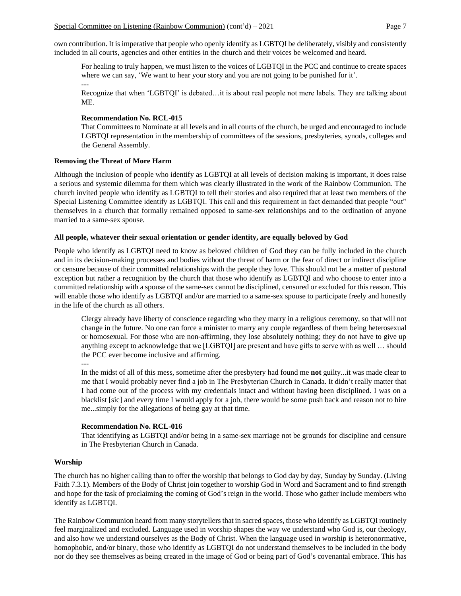own contribution. It is imperative that people who openly identify as LGBTQI be deliberately, visibly and consistently included in all courts, agencies and other entities in the church and their voices be welcomed and heard.

For healing to truly happen, we must listen to the voices of LGBTQI in the PCC and continue to create spaces where we can say, 'We want to hear your story and you are not going to be punished for it'.

Recognize that when 'LGBTQI' is debated…it is about real people not mere labels. They are talking about ME.

### **Recommendation No. RCL-015**

That Committees to Nominate at all levels and in all courts of the church, be urged and encouraged to include LGBTQI representation in the membership of committees of the sessions, presbyteries, synods, colleges and the General Assembly.

### **Removing the Threat of More Harm**

---

Although the inclusion of people who identify as LGBTQI at all levels of decision making is important, it does raise a serious and systemic dilemma for them which was clearly illustrated in the work of the Rainbow Communion. The church invited people who identify as LGBTQI to tell their stories and also required that at least two members of the Special Listening Committee identify as LGBTQI. This call and this requirement in fact demanded that people "out" themselves in a church that formally remained opposed to same-sex relationships and to the ordination of anyone married to a same-sex spouse.

## **All people, whatever their sexual orientation or gender identity, are equally beloved by God**

People who identify as LGBTQI need to know as beloved children of God they can be fully included in the church and in its decision-making processes and bodies without the threat of harm or the fear of direct or indirect discipline or censure because of their committed relationships with the people they love. This should not be a matter of pastoral exception but rather a recognition by the church that those who identify as LGBTQI and who choose to enter into a committed relationship with a spouse of the same-sex cannot be disciplined, censured or excluded for this reason. This will enable those who identify as LGBTQI and/or are married to a same-sex spouse to participate freely and honestly in the life of the church as all others.

Clergy already have liberty of conscience regarding who they marry in a religious ceremony, so that will not change in the future. No one can force a minister to marry any couple regardless of them being heterosexual or homosexual. For those who are non-affirming, they lose absolutely nothing; they do not have to give up anything except to acknowledge that we [LGBTQI] are present and have gifts to serve with as well … should the PCC ever become inclusive and affirming.

---

In the midst of all of this mess, sometime after the presbytery had found me **not** guilty...it was made clear to me that I would probably never find a job in The Presbyterian Church in Canada. It didn't really matter that I had come out of the process with my credentials intact and without having been disciplined. I was on a blacklist [sic] and every time I would apply for a job, there would be some push back and reason not to hire me...simply for the allegations of being gay at that time.

## **Recommendation No. RCL-016**

That identifying as LGBTQI and/or being in a same-sex marriage not be grounds for discipline and censure in The Presbyterian Church in Canada.

### **Worship**

The church has no higher calling than to offer the worship that belongs to God day by day, Sunday by Sunday. (Living Faith 7.3.1). Members of the Body of Christ join together to worship God in Word and Sacrament and to find strength and hope for the task of proclaiming the coming of God's reign in the world. Those who gather include members who identify as LGBTQI.

The Rainbow Communion heard from many storytellers that in sacred spaces, those who identify as LGBTQI routinely feel marginalized and excluded. Language used in worship shapes the way we understand who God is, our theology, and also how we understand ourselves as the Body of Christ. When the language used in worship is heteronormative, homophobic, and/or binary, those who identify as LGBTQI do not understand themselves to be included in the body nor do they see themselves as being created in the image of God or being part of God's covenantal embrace. This has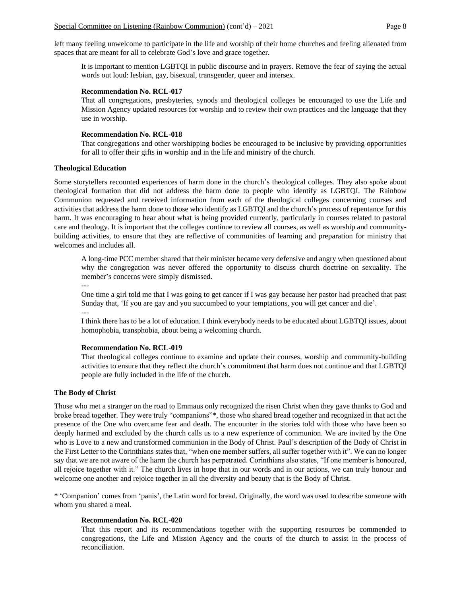left many feeling unwelcome to participate in the life and worship of their home churches and feeling alienated from spaces that are meant for all to celebrate God's love and grace together.

It is important to mention LGBTQI in public discourse and in prayers. Remove the fear of saying the actual words out loud: lesbian, gay, bisexual, transgender, queer and intersex.

## **Recommendation No. RCL-017**

That all congregations, presbyteries, synods and theological colleges be encouraged to use the Life and Mission Agency updated resources for worship and to review their own practices and the language that they use in worship.

## **Recommendation No. RCL-018**

That congregations and other worshipping bodies be encouraged to be inclusive by providing opportunities for all to offer their gifts in worship and in the life and ministry of the church.

### **Theological Education**

Some storytellers recounted experiences of harm done in the church's theological colleges. They also spoke about theological formation that did not address the harm done to people who identify as LGBTQI. The Rainbow Communion requested and received information from each of the theological colleges concerning courses and activities that address the harm done to those who identify as LGBTQI and the church's process of repentance for this harm. It was encouraging to hear about what is being provided currently, particularly in courses related to pastoral care and theology. It is important that the colleges continue to review all courses, as well as worship and communitybuilding activities, to ensure that they are reflective of communities of learning and preparation for ministry that welcomes and includes all.

A long-time PCC member shared that their minister became very defensive and angry when questioned about why the congregation was never offered the opportunity to discuss church doctrine on sexuality. The member's concerns were simply dismissed.

---

One time a girl told me that I was going to get cancer if I was gay because her pastor had preached that past Sunday that, 'If you are gay and you succumbed to your temptations, you will get cancer and die'. ---

I think there has to be a lot of education. I think everybody needs to be educated about LGBTQI issues, about homophobia, transphobia, about being a welcoming church.

## **Recommendation No. RCL-019**

That theological colleges continue to examine and update their courses, worship and community-building activities to ensure that they reflect the church's commitment that harm does not continue and that LGBTQI people are fully included in the life of the church.

### **The Body of Christ**

Those who met a stranger on the road to Emmaus only recognized the risen Christ when they gave thanks to God and broke bread together. They were truly "companions"\*, those who shared bread together and recognized in that act the presence of the One who overcame fear and death. The encounter in the stories told with those who have been so deeply harmed and excluded by the church calls us to a new experience of communion. We are invited by the One who is Love to a new and transformed communion in the Body of Christ. Paul's description of the Body of Christ in the First Letter to the Corinthians states that, "when one member suffers, all suffer together with it". We can no longer say that we are not aware of the harm the church has perpetrated. Corinthians also states, "If one member is honoured, all rejoice together with it." The church lives in hope that in our words and in our actions, we can truly honour and welcome one another and rejoice together in all the diversity and beauty that is the Body of Christ.

\* 'Companion' comes from 'panis', the Latin word for bread. Originally, the word was used to describe someone with whom you shared a meal.

### **Recommendation No. RCL-020**

That this report and its recommendations together with the supporting resources be commended to congregations, the Life and Mission Agency and the courts of the church to assist in the process of reconciliation.